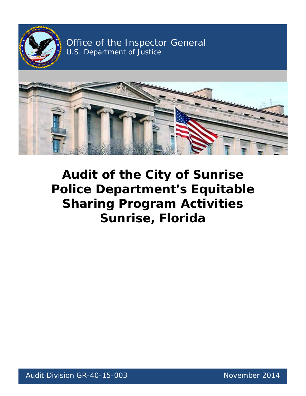

Office of the Inspector General U.S. Department of Justice



# **Audit of the City of Sunrise Sharing Program Activities Police Department's Equitable Sunrise, Florida**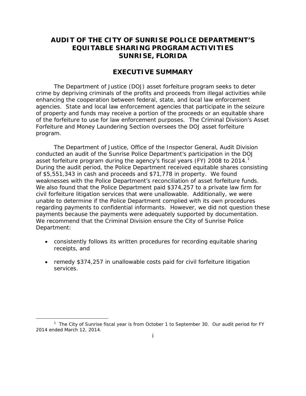## **AUDIT OF THE CITY OF SUNRISE POLICE DEPARTMENT'S SUNRISE, FLORIDA EQUITABLE SHARING PROGRAM ACTIVITIES**

## **EXECUTIVE SUMMARY**

 enhancing the cooperation between federal, state, and local law enforcement The Department of Justice (DOJ) asset forfeiture program seeks to deter crime by depriving criminals of the profits and proceeds from illegal activities while agencies. State and local law enforcement agencies that participate in the seizure of property and funds may receive a portion of the proceeds or an equitable share of the forfeiture to use for law enforcement purposes. The Criminal Division's Asset Forfeiture and Money Laundering Section oversees the DOJ asset forfeiture program.

asset forfeiture program during the agency's fiscal years (FY) 2008 to 2014.<sup>1</sup> of \$5,551,343 in cash and proceeds and \$71,778 in property. We found weaknesses with the Police Department's reconciliation of asset forfeiture funds. weaknesses with the Police Department's reconciliation of asset forfeiture funds.<br>We also found that the Police Department paid \$374,257 to a private law firm for civil forfeiture litigation services that were unallowable. Additionally, we were payments because the payments were adequately supported by documentation. The Department of Justice, Office of the Inspector General, Audit Division conducted an audit of the Sunrise Police Department's participation in the DOJ During the audit period, the Police Department received equitable shares consisting unable to determine if the Police Department complied with its own procedures regarding payments to confidential informants. However, we did not question these We recommend that the Criminal Division ensure the City of Sunrise Police Department:

- consistently follows its written procedures for recording equitable sharing receipts, and
- remedy \$374,257 in unallowable costs paid for civil forfeiture litigation services.

l

<span id="page-1-0"></span><sup>&</sup>lt;sup>1</sup> The City of Sunrise fiscal year is from October 1 to September 30. Our audit period for FY 2014 ended March 12, 2014.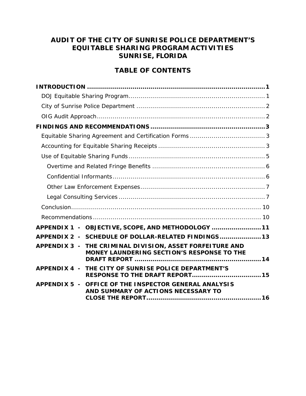# **AUDIT OF THE CITY OF SUNRISE POLICE DEPARTMENT'S SUNRISE, FLORIDA EQUITABLE SHARING PROGRAM ACTIVITIES**

# **TABLE OF CONTENTS**

| APPENDIX 1 - OBJECTIVE, SCOPE, AND METHODOLOGY  11                                                     |  |
|--------------------------------------------------------------------------------------------------------|--|
| APPENDIX 2 - SCHEDULE OF DOLLAR-RELATED FINDINGS 13                                                    |  |
| APPENDIX 3 - THE CRIMINAL DIVISION, ASSET FORFEITURE AND<br>MONEY LAUNDERING SECTION'S RESPONSE TO THE |  |
| APPENDIX 4 -<br>THE CITY OF SUNRISE POLICE DEPARTMENT'S                                                |  |
| APPENDIX 5 -<br>OFFICE OF THE INSPECTOR GENERAL ANALYSIS<br>AND SUMMARY OF ACTIONS NECESSARY TO        |  |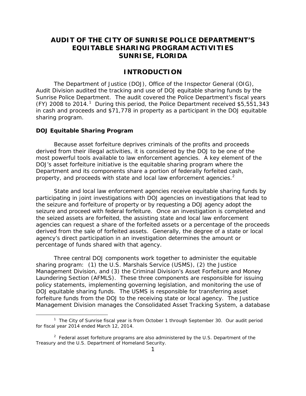## **AUDIT OF THE CITY OF SUNRISE POLICE DEPARTMENT'S SUNRISE, FLORIDA EQUITABLE SHARING PROGRAM ACTIVITIES**

## **INTRODUCTION**

<span id="page-3-0"></span> Audit Division audited the tracking and use of DOJ equitable sharing funds by the Sunrise Police Department. The audit covered the Police Department's fiscal years (FY) 2008 to 2014.<sup>1</sup> During this period, the Police Department received \$5,551,343 The Department of Justice (DOJ), Office of the Inspector General (OIG), in cash and proceeds and \$71,778 in property as a participant in the DOJ equitable sharing program.

#### <span id="page-3-1"></span>**DOJ Equitable Sharing Program**

1

 derived from their illegal activities, it is considered by the DOJ to be one of the most powerful tools available to law enforcement agencies. A key element of the DOJ's asset forfeiture initiative is the equitable sharing program where the property, and proceeds with state and local law enforcement agencies. $2$ Because asset forfeiture deprives criminals of the profits and proceeds Department and its components share a portion of federally forfeited cash,

 participating in joint investigations with DOJ agencies on investigations that lead to the seized assets are forfeited, the assisting state and local law enforcement derived from the sale of forfeited assets. Generally, the degree of a state or local State and local law enforcement agencies receive equitable sharing funds by the seizure and forfeiture of property or by requesting a DOJ agency adopt the seizure and proceed with federal forfeiture. Once an investigation is completed and agencies can request a share of the forfeited assets or a percentage of the proceeds agency's direct participation in an investigation determines the amount or percentage of funds shared with that agency.

 Laundering Section (AFMLS). These three components are responsible for issuing forfeiture funds from the DOJ to the receiving state or local agency. The Justice Three central DOJ components work together to administer the equitable sharing program: (1) the U.S. Marshals Service (USMS), (2) the Justice Management Division, and (3) the Criminal Division's Asset Forfeiture and Money policy statements, implementing governing legislation, and monitoring the use of DOJ equitable sharing funds. The USMS is responsible for transferring asset Management Division manages the Consolidated Asset Tracking System, a database

<span id="page-3-2"></span><sup>&</sup>lt;sup>1</sup> The City of Sunrise fiscal year is from October 1 through September 30. Our audit period for fiscal year 2014 ended March 12, 2014.

<span id="page-3-3"></span> $2$  Federal asset forfeiture programs are also administered by the U.S. Department of the Treasury and the U.S. Department of Homeland Security.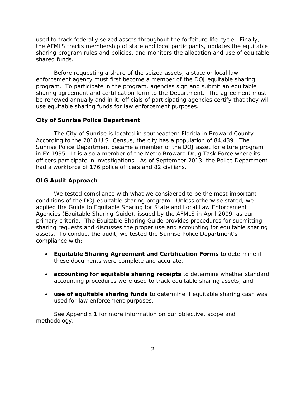used to track federally seized assets throughout the forfeiture life-cycle. Finally, the AFMLS tracks membership of state and local participants, updates the equitable sharing program rules and policies, and monitors the allocation and use of equitable shared funds.

 program. To participate in the program, agencies sign and submit an equitable be renewed annually and in it, officials of participating agencies certify that they will use equitable sharing funds for law enforcement purposes. Before requesting a share of the seized assets, a state or local law enforcement agency must first become a member of the DOJ equitable sharing sharing agreement and certification form to the Department. The agreement must

#### <span id="page-4-0"></span>**City of Sunrise Police Department**

The City of Sunrise is located in southeastern Florida in Broward County. The City of Sunrise is located in southeastern Florida in Broward County. According to the 2010 U.S. Census, the city has a population of 84,439. The in FY 1995. It is also a member of the Metro Broward Drug Task Force where its Sunrise Police Department became a member of the DOJ asset forfeiture program officers participate in investigations. As of September 2013, the Police Department had a workforce of 176 police officers and 82 civilians.

#### <span id="page-4-1"></span>**OIG Audit Approach**

 assets. To conduct the audit, we tested the Sunrise Police Department's We tested compliance with what we considered to be the most important conditions of the DOJ equitable sharing program. Unless otherwise stated, we applied the *Guide to Equitable Sharing for State and Local Law Enforcement Agencies* (Equitable Sharing Guide), issued by the AFMLS in April 2009, as our primary criteria. The Equitable Sharing Guide provides procedures for submitting sharing requests and discusses the proper use and accounting for equitable sharing compliance with:

- • **Equitable Sharing Agreement and Certification Forms** to determine if these documents were complete and accurate,
- • **accounting for equitable sharing receipts** to determine whether standard accounting procedures were used to track equitable sharing assets, and
- **use of equitable sharing funds** to determine if equitable sharing cash was used for law enforcement purposes.

See Appendix 1 for more information on our objective, scope and methodology.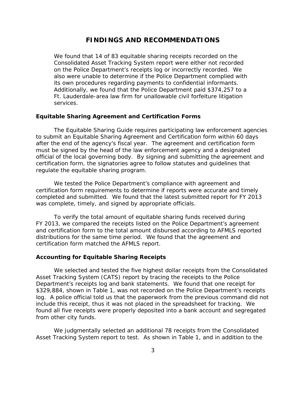#### **FINDINGS AND RECOMMENDATIONS**

<span id="page-5-0"></span> We found that 14 of 83 equitable sharing receipts recorded on the also were unable to determine if the Police Department complied with its own procedures regarding payments to confidential informants. Consolidated Asset Tracking System report were either not recorded on the Police Department's receipts log or incorrectly recorded. We Additionally, we found that the Police Department paid \$374,257 to a Ft. Lauderdale-area law firm for unallowable civil forfeiture litigation services.

#### <span id="page-5-1"></span>**Equitable Sharing Agreement and Certification Forms**

 after the end of the agency's fiscal year. The agreement and certification form The Equitable Sharing Guide requires participating law enforcement agencies to submit an Equitable Sharing Agreement and Certification form within 60 days must be signed by the head of the law enforcement agency and a designated official of the local governing body. By signing and submitting the agreement and certification form, the signatories agree to follow statutes and guidelines that regulate the equitable sharing program.

 completed and submitted. We found that the latest submitted report for FY 2013 was complete, timely, and signed by appropriate officials. We tested the Police Department's compliance with agreement and certification form requirements to determine if reports were accurate and timely

 distributions for the same time period. We found that the agreement and certification form matched the AFMLS report. To verify the total amount of equitable sharing funds received during FY 2013, we compared the receipts listed on the Police Department's agreement and certification form to the total amount disbursed according to AFMLS reported

#### <span id="page-5-2"></span>**Accounting for Equitable Sharing Receipts**

 log. A police official told us that the paperwork from the previous command did not include this receipt, thus it was not placed in the spreadsheet for tracking. We from other city funds. We selected and tested the five highest dollar receipts from the Consolidated Asset Tracking System (CATS) report by tracing the receipts to the Police Department's receipts log and bank statements. We found that one receipt for \$329,884, shown in Table 1, was not recorded on the Police Department's receipts found all five receipts were properly deposited into a bank account and segregated

 from other city funds. We judgmentally selected an additional 78 receipts from the Consolidated Asset Tracking System report to test. As shown in Table 1, and in addition to the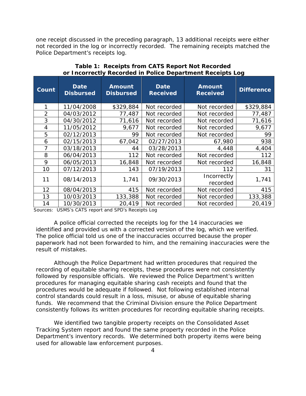not recorded in the log or incorrectly recorded. The remaining receipts matched the Police Department's receipts log. one receipt discussed in the preceding paragraph, 13 additional receipts were either

| Count          | Date<br><b>Disbursed</b> | <b>Amount</b><br><b>Disbursed</b> | Date<br><b>Received</b> | <b>Amount</b><br><b>Received</b> | <b>Difference</b> |
|----------------|--------------------------|-----------------------------------|-------------------------|----------------------------------|-------------------|
|                | 11/04/2008               | \$329,884                         | Not recorded            | Not recorded                     | \$329,884         |
| $\overline{2}$ | 04/03/2012               | 77,487                            | Not recorded            | Not recorded                     | 77,487            |
| 3              | 04/30/2012               | 71,616                            | Not recorded            | Not recorded                     | 71,616            |
| 4              | 11/05/2012               | 9,677                             | Not recorded            | Not recorded                     | 9,677             |
| 5              | 02/12/2013               | 99                                | Not recorded            | Not recorded                     | 99                |
| 6              | 02/15/2013               | 67,042                            | 02/27/2013              | 67,980                           | 938               |
| 7              | 03/18/2013               | 44                                | 03/28/2013              | 4,448                            | 4,404             |
| 8              | 06/04/2013               | 112                               | Not recorded            | Not recorded                     | 112               |
| 9              | 06/05/2013               | 16,848                            | Not recorded            | Not recorded                     | 16,848            |
| 10             | 07/12/2013               | 143                               | 07/19/2013              | 112                              | 31                |
| 11             | 08/14/2013               | 1,741                             | 09/30/2013              | Incorrectly<br>recorded          | 1,741             |
| 12             | 08/04/2013               | 415                               | Not recorded            | Not recorded                     | 415               |
| 13             | 10/03/2013               | 133,388                           | Not recorded            | Not recorded                     | 133,388           |
| 14             | 10/30/2013               | 20,419                            | Not recorded            | Not recorded                     | 20,419            |

**Table 1: Receipts from CATS Report Not Recorded or Incorrectly Recorded in Police Department Receipts Log**

Sources: USMS's CATS report and SPD's Receipts Log

identified and provided us with a corrected version of the log, which we verified. result of mistakes. A police official corrected the receipts log for the 14 inaccuracies we The police official told us one of the inaccuracies occurred because the proper paperwork had not been forwarded to him, and the remaining inaccuracies were the

 followed by responsible officials. We reviewed the Police Department's written procedures would be adequate if followed. Not following established internal result of mistakes.<br>Although the Police Department had written procedures that required the recording of equitable sharing receipts, these procedures were not consistently procedures for managing equitable sharing cash receipts and found that the control standards could result in a loss, misuse, or abuse of equitable sharing funds. We recommend that the Criminal Division ensure the Police Department consistently follows its written procedures for recording equitable sharing receipts.

We identified two tangible property receipts on the Consolidated Asset Tracking System report and found the same property recorded in the Police Department's inventory records. We determined both property items were being used for allowable law enforcement purposes.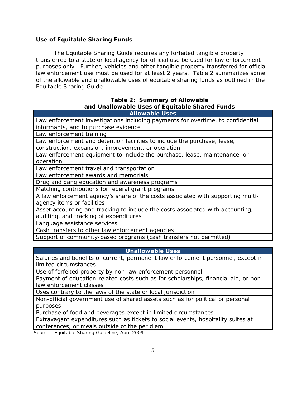#### <span id="page-7-0"></span> **Use of Equitable Sharing Funds**

 The Equitable Sharing Guide requires any forfeited tangible property law enforcement use must be used for at least 2 years. Table 2 summarizes some Equitable Sharing Guide. transferred to a state or local agency for official use be used for law enforcement purposes only. Further, vehicles and other tangible property transferred for official of the allowable and unallowable uses of equitable sharing funds as outlined in the

#### **and Unallowable Uses of Equitable Shared Funds Table 2: Summary of Allowable Allowable Uses**

| ANUWADIC USCS                                                                   |
|---------------------------------------------------------------------------------|
| Law enforcement investigations including payments for overtime, to confidential |
| informants, and to purchase evidence                                            |
| Law enforcement training                                                        |
| Law enforcement and detention facilities to include the purchase, lease,        |
| construction, expansion, improvement, or operation                              |
| Law enforcement equipment to include the purchase, lease, maintenance, or       |
| operation                                                                       |
| Low opforooment travel and transportation                                       |

Law enforcement travel and transportation

Law enforcement awards and memorials

Drug and gang education and awareness programs

Matching contributions for federal grant programs

A law enforcement agency's share of the costs associated with supporting multiagency items or facilities

Asset accounting and tracking to include the costs associated with accounting, auditing, and tracking of expenditures

Language assistance services

Cash transfers to other law enforcement agencies

Support of community-based programs (cash transfers not permitted)

## **Unallowable Uses**

Salaries and benefits of current, permanent law enforcement personnel, except in limited circumstances

Use of forfeited property by non-law enforcement personnel

Payment of education-related costs such as for scholarships, financial aid, or nonlaw enforcement classes

Uses contrary to the laws of the state or local jurisdiction

Non-official government use of shared assets such as for political or personal purposes

Purchase of food and beverages except in limited circumstances

Extravagant expenditures such as tickets to social events, hospitality suites at conferences, or meals outside of the per diem

Source: Equitable Sharing Guideline, April 2009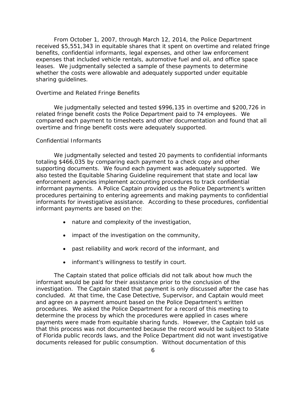leases. We judgmentally selected a sample of these payments to determine sharing guidelines. From October 1, 2007, through March 12, 2014, the Police Department received \$5,551,343 in equitable shares that it spent on overtime and related fringe benefits, confidential informants, legal expenses, and other law enforcement expenses that included vehicle rentals, automotive fuel and oil, and office space whether the costs were allowable and adequately supported under equitable

#### <span id="page-8-0"></span>*Overtime and Related Fringe Benefits*

 overtime and fringe benefit costs were adequately supported. We judgmentally selected and tested \$996,135 in overtime and \$200,726 in related fringe benefit costs the Police Department paid to 74 employees. We compared each payment to timesheets and other documentation and found that all

#### <span id="page-8-1"></span>*Confidential Informants*

 supporting documents. We found each payment was adequately supported. We also tested the Equitable Sharing Guideline requirement that state and local law informant payments. A Police Captain provided us the Police Department's written informants for investigative assistance. According to these procedures, confidential informant payments are based on the: We judgmentally selected and tested 20 payments to confidential informants totaling \$466,035 by comparing each payment to a check copy and other enforcement agencies implement accounting procedures to track confidential procedures pertaining to entering agreements and making payments to confidential

- nature and complexity of the investigation,
- impact of the investigation on the community,
- past reliability and work record of the informant, and
- informant's willingness to testify in court.

 documents released for public consumption. Without documentation of this The Captain stated that police officials did not talk about how much the informant would be paid for their assistance prior to the conclusion of the investigation. The Captain stated that payment is only discussed after the case has concluded. At that time, the Case Detective, Supervisor, and Captain would meet and agree on a payment amount based on the Police Department's written procedures. We asked the Police Department for a record of this meeting to determine the process by which the procedures were applied in cases where payments were made from equitable sharing funds. However, the Captain told us that this process was not documented because the record would be subject to State of Florida public records laws, and the Police Department did not want investigative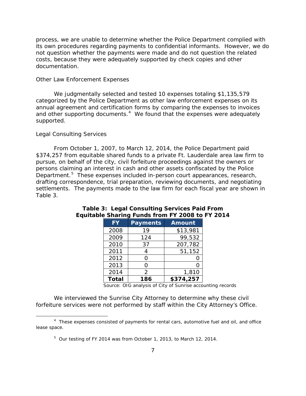process, we are unable to determine whether the Police Department complied with its own procedures regarding payments to confidential informants. However, we do not question whether the payments were made and do not question the related costs, because they were adequately supported by check copies and other documentation.

#### <span id="page-9-0"></span>*Other Law Enforcement Expenses*

 We judgmentally selected and tested 10 expenses totaling \$1,135,579 and other supporting documents.<sup>4</sup> We found that the expenses were adequately categorized by the Police Department as other law enforcement expenses on its annual agreement and certification forms by comparing the expenses to invoices supported.

#### <span id="page-9-1"></span>*Legal Consulting Services*

l

 \$374,257 from equitable shared funds to a private Ft. Lauderdale area law firm to pursue, on behalf of the city, civil forfeiture proceedings against the owners or Department.<sup>5</sup> These expenses included in-person court appearances, research, settlements. The payments made to the law firm for each fiscal year are shown in Table 3. From October 1, 2007, to March 12, 2014, the Police Department paid persons claiming an interest in cash and other assets confiscated by the Police drafting correspondence, trial preparation, reviewing documents, and negotiating

| <b>FY</b>    | <b>Payments</b> | <b>Amount</b> |  |
|--------------|-----------------|---------------|--|
| 2008         | 19              | \$13,981      |  |
| 2009         | 124             | 99,532        |  |
| 2010         | 37              | 207,782       |  |
| 2011         | 4               | 51,152        |  |
| 2012         | Ω               |               |  |
| 2013         | ∩               |               |  |
| 2014         | $\mathcal{P}$   | 1,810         |  |
| <b>Total</b> | 186             | \$374,257     |  |

## **Table 3: Legal Consulting Services Paid From Equitable Sharing Funds from FY 2008 to FY 2014**

Source: OIG analysis of City of Sunrise accounting records

forfeiture services were not performed by staff within the City Attorney's Office. forfeiture services were not performed by staff within the City Attorney's Office. 4 These expenses consisted of payments for rental cars, automotive fuel and oil, and office We interviewed the Sunrise City Attorney to determine why these civil

<span id="page-9-3"></span><span id="page-9-2"></span>lease space. lease space.<br><sup>5</sup> Our testing of FY 2014 was from October 1, 2013, to March 12, 2014.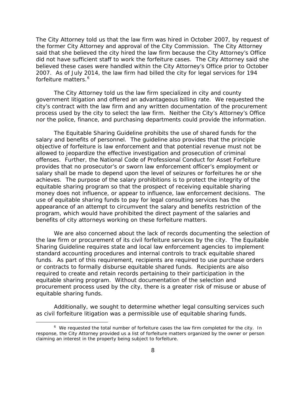The City Attorney told us that the law firm was hired in October 2007, by request of said that she believed the city hired the law firm because the City Attorney's Office did not have sufficient staff to work the forfeiture cases. The City Attorney said she forfeiture matters.<sup>[6](#page-10-0)</sup> the former City Attorney and approval of the City Commission. The City Attorney believed these cases were handled within the City Attorney's Office prior to October 2007. As of July 2014, the law firm had billed the city for legal services for 194

 government litigation and offered an advantageous billing rate. We requested the process used by the city to select the law firm. Neither the City's Attorney's Office nor the police, finance, and purchasing departments could provide the information. The City Attorney told us the law firm specialized in city and county city's contract with the law firm and any written documentation of the procurement

 salary and benefits of personnel. The guideline also provides that the principle offenses. Further, the National Code of Professional Conduct for Asset Forfeiture achieves. The purpose of the salary prohibitions is to protect the integrity of the The Equitable Sharing Guideline prohibits the use of shared funds for the objective of forfeiture is law enforcement and that potential revenue must not be allowed to jeopardize the effective investigation and prosecution of criminal provides that no prosecutor's or sworn law enforcement officer's employment or salary shall be made to depend upon the level of seizures or forfeitures he or she equitable sharing program so that the prospect of receiving equitable sharing money does not influence, or appear to influence, law enforcement decisions. The use of equitable sharing funds to pay for legal consulting services has the appearance of an attempt to circumvent the salary and benefits restriction of the program, which would have prohibited the direct payment of the salaries and benefits of city attorneys working on these forfeiture matters.

 funds. As part of this requirement, recipients are required to use purchase orders equitable sharing funds. We are also concerned about the lack of records documenting the selection of the law firm or procurement of its civil forfeiture services by the city. The Equitable Sharing Guideline requires state and local law enforcement agencies to implement standard accounting procedures and internal controls to track equitable shared or contracts to formally disburse equitable shared funds. Recipients are also required to create and retain records pertaining to their participation in the equitable sharing program. Without documentation of the selection and procurement process used by the city, there is a greater risk of misuse or abuse of

Additionally, we sought to determine whether legal consulting services such as civil forfeiture litigation was a permissible use of equitable sharing funds.

1

<span id="page-10-0"></span> $6\,$  We requested the total number of forfeiture cases the law firm completed for the city. In response, the City Attorney provided us a list of forfeiture matters organized by the owner or person claiming an interest in the property being subject to forfeiture.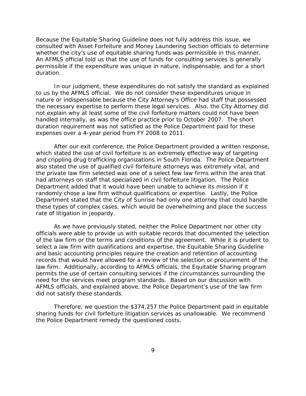whether the city's use of equitable sharing funds was permissible in this manner. permissible if the expenditure was unique in nature, indispensable, and for a short duration. duration.<br>In our judgment, these expenditures do not satisfy the standard as explained Because the Equitable Sharing Guideline does not fully address this issue, we consulted with Asset Forfeiture and Money Laundering Section officials to determine An AFMLS official told us that the use of funds for consulting services is generally

 the necessary expertise to perform these legal services. Also, the City Attorney did handled internally, as was the office practice prior to October 2007. The short to us by the AFMLS official. We do not consider these expenditures unique in nature or indispensable because the City Attorney's Office had staff that possessed not explain why at least some of the civil forfeiture matters could not have been duration requirement was not satisfied as the Police Department paid for these expenses over a 4-year period from FY 2008 to 2011.

 had attorneys on staff that specialized in civil forfeiture litigation. The Police Department added that it would have been unable to achieve its mission if it After our exit conference, the Police Department provided a written response, which stated the use of civil forfeiture is an extremely effective way of targeting and crippling drug trafficking organizations in South Florida. The Police Department also stated the use of qualified civil forfeiture attorneys was extremely vital, and the private law firm selected was one of a select few law firms within the area that randomly chose a law firm without qualifications or expertise. Lastly, the Police Department stated that the City of Sunrise had only one attorney that could handle these types of complex cases, which would be overwhelming and place the success rate of litigation in jeopardy.

 of the law firm or the terms and conditions of the agreement. While it is prudent to did not satisfy these standards. As we have previously stated, neither the Police Department nor other city officials were able to provide us with suitable records that documented the selection select a law firm with qualifications and expertise, the Equitable Sharing Guideline and basic accounting principles require the creation and retention of accounting records that would have allowed for a review of the selection or procurement of the law firm. Additionally, according to AFMLS officials, the Equitable Sharing program permits the use of certain consulting services if the circumstances surrounding the need for the services meet program standards. Based on our discussion with AFMLS officials, and explained above, the Police Department's use of the law firm

 the Police Department remedy the questioned costs. Therefore, we question the \$374,257 the Police Department paid in equitable sharing funds for civil forfeiture litigation services as unallowable. We recommend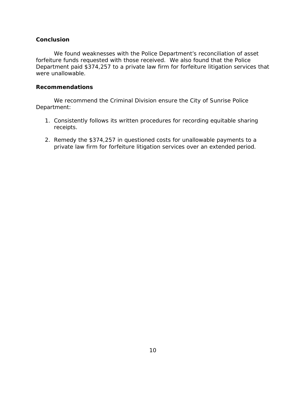#### <span id="page-12-0"></span>**Conclusion**

 Department paid \$374,257 to a private law firm for forfeiture litigation services that were unallowable. We found weaknesses with the Police Department's reconciliation of asset forfeiture funds requested with those received. We also found that the Police

#### <span id="page-12-1"></span>**Recommendations**

We recommend the Criminal Division ensure the City of Sunrise Police Department:

- receipts. 1. Consistently follows its written procedures for recording equitable sharing
- private law firm for forfeiture litigation services over an extended period. 2. Remedy the \$374,257 in questioned costs for unallowable payments to a private law firm for forfeiture litigation services over an extended period.<br>  $10$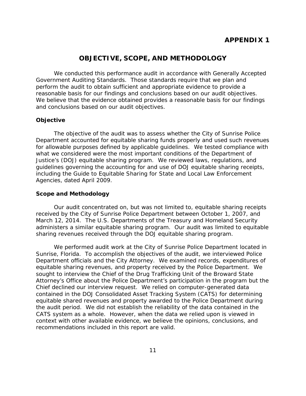## **APPENDIX 1**

### **OBJECTIVE, SCOPE, AND METHODOLOGY**

<span id="page-13-1"></span><span id="page-13-0"></span> Government Auditing Standards. Those standards require that we plan and perform the audit to obtain sufficient and appropriate evidence to provide a We conducted this performance audit in accordance with Generally Accepted reasonable basis for our findings and conclusions based on our audit objectives. We believe that the evidence obtained provides a reasonable basis for our findings and conclusions based on our audit objectives.

#### **Objective**

 *Agencies*, dated April 2009. The objective of the audit was to assess whether the City of Sunrise Police Department accounted for equitable sharing funds properly and used such revenues for allowable purposes defined by applicable guidelines. We tested compliance with what we considered were the most important conditions of the Department of Justice's (DOJ) equitable sharing program. We reviewed laws, regulations, and guidelines governing the accounting for and use of DOJ equitable sharing receipts, including the *Guide to Equitable Sharing for State and Local Law Enforcement* 

#### **Scope and Methodology**

 received by the City of Sunrise Police Department between October 1, 2007, and Our audit concentrated on, but was not limited to, equitable sharing receipts March 12, 2014. The U.S. Departments of the Treasury and Homeland Security administers a similar equitable sharing program. Our audit was limited to equitable sharing revenues received through the DOJ equitable sharing program.

 Sunrise, Florida. To accomplish the objectives of the audit, we interviewed Police Attorney's Office about the Police Department's participation in the program but the the audit period. We did not establish the reliability of the data contained in the CATS system as a whole. However, when the data we relied upon is viewed in We performed audit work at the City of Sunrise Police Department located in Department officials and the City Attorney. We examined records, expenditures of equitable sharing revenues, and property received by the Police Department. We sought to interview the Chief of the Drug Trafficking Unit of the Broward State Chief declined our interview request. We relied on computer-generated data contained in the DOJ Consolidated Asset Tracking System (CATS) for determining equitable shared revenues and property awarded to the Police Department during context with other available evidence, we believe the opinions, conclusions, and recommendations included in this report are valid.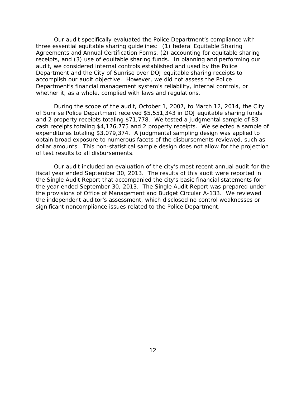three essential equitable sharing guidelines: (1) federal Equitable Sharing receipts, and (3) use of equitable sharing funds. In planning and performing our Our audit specifically evaluated the Police Department's compliance with Agreements and Annual Certification Forms, (2) accounting for equitable sharing audit, we considered internal controls established and used by the Police Department and the City of Sunrise over DOJ equitable sharing receipts to accomplish our audit objective. However, we did not assess the Police Department's financial management system's reliability, internal controls, or whether it, as a whole, complied with laws and regulations.

 and 2 property receipts totaling \$71,778. We tested a judgmental sample of 83 During the scope of the audit, October 1, 2007, to March 12, 2014, the City of Sunrise Police Department received \$5,551,343 in DOJ equitable sharing funds cash receipts totaling \$4,176,775 and 2 property receipts. We selected a sample of expenditures totaling \$3,079,374. A judgmental sampling design was applied to obtain broad exposure to numerous facets of the disbursements reviewed, such as dollar amounts. This non-statistical sample design does not allow for the projection of test results to all disbursements.

 significant noncompliance issues related to the Police Department. Our audit included an evaluation of the city's most recent annual audit for the fiscal year ended September 30, 2013. The results of this audit were reported in the Single Audit Report that accompanied the city's basic financial statements for the year ended September 30, 2013. The Single Audit Report was prepared under the provisions of Office of Management and Budget Circular A-133. We reviewed the independent auditor's assessment, which disclosed no control weaknesses or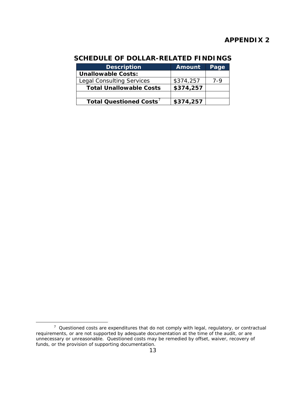## **APPENDIX 2**

# <span id="page-15-1"></span><span id="page-15-0"></span>**SCHEDULE OF DOLLAR-RELATED FINDINGS**

| <b>Description</b>               | <b>Amount</b> | Page  |
|----------------------------------|---------------|-------|
| <b>Unallowable Costs:</b>        |               |       |
| <b>Legal Consulting Services</b> | \$374,257     | $7-9$ |
| <b>Total Unallowable Costs</b>   | \$374,257     |       |
|                                  |               |       |
| Total Questioned Costs'          | \$374,257     |       |

1

<span id="page-15-2"></span> $7$  Questioned costs are expenditures that do not comply with legal, regulatory, or contractual funds, or the provision of supporting documentation. 13 requirements, or are not supported by adequate documentation at the time of the audit, or are unnecessary or unreasonable. Questioned costs may be remedied by offset, waiver, recovery of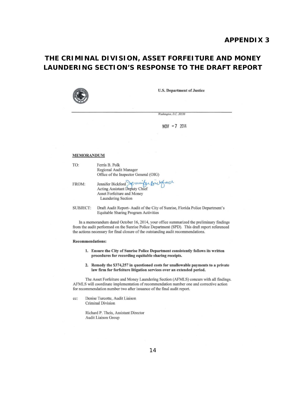# <span id="page-16-1"></span><span id="page-16-0"></span>**THE CRIMINAL DIVISION, ASSET FORFEITURE AND MONEY LAUNDERING SECTION'S RESPONSE TO THE DRAFT REPORT**



U.S. Department of Justice

 $NOV - 7$  2014

*Washington, D.C. 20530* 

#### MEMORANDUM

| TO:   | Ferris B. Polk                                                                                                          |
|-------|-------------------------------------------------------------------------------------------------------------------------|
|       | Regional Audit Manager                                                                                                  |
|       | Office of the Inspector General (OIG)                                                                                   |
| FROM: | Jennifer Bickford Jennifer Brother<br>Acting Assistant Deputy Chief<br>Asset Forfeiture and Money<br>Laundering Section |

SUBJECT: Draft Audit Report- Audit of the City of Sunrise, Florida Police Department's Equitable Sharing Program Activities

In a memorandum dated October 16, 2014, your office summarized the preliminary findings from the audit performed on the Sunrise Police Department (SPD). This draft report referenced the actions necessary for final closure of the outstanding audit recommendations.

#### Recommendations:

- 1. Ensure the City of Sunrise Police Department consistently follows its written procedures for recording equitable sharing receipts.
- 2. Remedy the 5374,257 in questioned costs for unallowable payments to a private law firm for forfeiture litigation services over an extended period.

The Asset Forfeiture and Money Laundering Section (AFMLS) concurs with all findings. AFMLS will coordinate implementation of recommendation number one and corrective action for recommendation number two after issuance of the final audit report.

cc: Denise Turcotte, Audit Liaison Criminal Division

> Richard P. Theis, Assistant Director Audit Liaison Group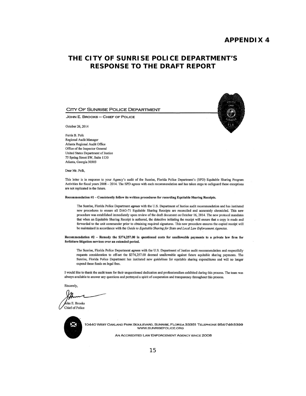#### **APPENDIX 4**

## <span id="page-17-1"></span><span id="page-17-0"></span>**THE CITY OF SUNRISE POLICE DEPARTMENT'S RESPONSE TO THE DRAFT REPORT**

#### CITY OF SUNRISE POLICE DEPARTMENT

JOHN E. BROOKS - CHIEF OF POLICE

October 26, 2014

Fenis B. Polk Regional Audit Manager Atlanta Regional Audit Office Office of the Inspector General United States Department of Justice 75 Spring Street SW, Suite 1130 Atlanta, Georgia 30303

Dear Mr. Polk,

This letter is in response to your Agency's audit of the Sunrise, Florida Police Department's (SPO) Equitable Sharing Program Activities for fiscal years 2008 - 2014. The SPD agrees with each recommendation and has taken steps to safeguard these exceptions are not replicated in the future.

#### Recommendation #1 - Consistently follow its written procedures for recording Equitable Sharing Receipts.

The Sunrise, Florida Police Department *agrees* with the U.S. Department of Justice audit recommendation and has instituted new procedures to ensure all DAG-71 Equitable Sharing Receipts are reconciled and accurately chronicled. This new procedure was established immediately upon review of the draft document on October 16, 2014. The new protocol mandates that when an Equitable Sharing Receipt is authored, the detective initiating the receipt will ensure that a copy is made and forwarded to the unit commander prior to obtaining required signatures. This new procedure ensures the copied receipt will be maintained in accordance with the *Guide to Equitable Sharingfor State and Local Law Enforcement Agencies.* 

#### Recommendation #2 - Remedy the 5374,257.00 In questioned costs for unallowable payments to a private law firm for forfeiture litigation services over an extended period.

The Sunrise, Florida Police Department *agrees* with the U.S. Department of Justice audit recommendation and respectfully requests consideration to off-set the \$374,257.00 deemed unallowable against future equitable sharing payments. The Sunrise, Florida Police Department has instituted new guidelines for equitable sharing expenditures and will no longer expend these funds on legal fees.

I would like to thank the audit team for their unquestioned dedication and professionalism exhibited during this process. The team was always available to answer any questions and portrayed a spirit of cooperation and transparency throughout this process.

Sincerely,

ohn E. Brooks Chief of Police



10440 WEST OAKlAND PARK BOULEVARD, SUNRISE, FLORIDA 33351 TELEPHONE 954-746-3399 WWW.SUNRISEPOLICE.ORG

AN ACCREDITED LAW ENFORCEMENT AGENCY SINCE 2008

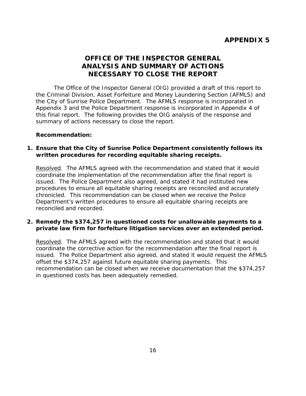# **OFFICE OF THE INSPECTOR GENERAL ANALYSIS AND SUMMARY OF ACTIONS NECESSARY TO CLOSE THE REPORT**

<span id="page-18-3"></span><span id="page-18-2"></span><span id="page-18-1"></span><span id="page-18-0"></span> Appendix 3 and the Police Department response is incorporated in Appendix 4 of The Office of the Inspector General (OIG) provided a draft of this report to the Criminal Division, Asset Forfeiture and Money Laundering Section (AFMLS) and the City of Sunrise Police Department. The AFMLS response is incorporated in this final report. The following provides the OIG analysis of the response and summary of actions necessary to close the report.

### **Recommendation:**

### **1. Ensure that the City of Sunrise Police Department consistently follows its written procedures for recording equitable sharing receipts.**

 reconciled and recorded. Resolved. The AFMLS agreed with the recommendation and stated that it would coordinate the implementation of the recommendation after the final report is issued. The Police Department also agreed, and stated it had instituted new procedures to ensure all equitable sharing receipts are reconciled and accurately chronicled. This recommendation can be closed when we receive the Police Department's written procedures to ensure all equitable sharing receipts are

### **2. Remedy the \$374,257 in questioned costs for unallowable payments to a private law firm for forfeiture litigation services over an extended period.**

 offset the \$374,257 against future equitable sharing payments. This Resolved. The AFMLS agreed with the recommendation and stated that it would coordinate the corrective action for the recommendation after the final report is issued. The Police Department also agreed, and stated it would request the AFMLS recommendation can be closed when we receive documentation that the \$374,257 in questioned costs has been adequately remedied.